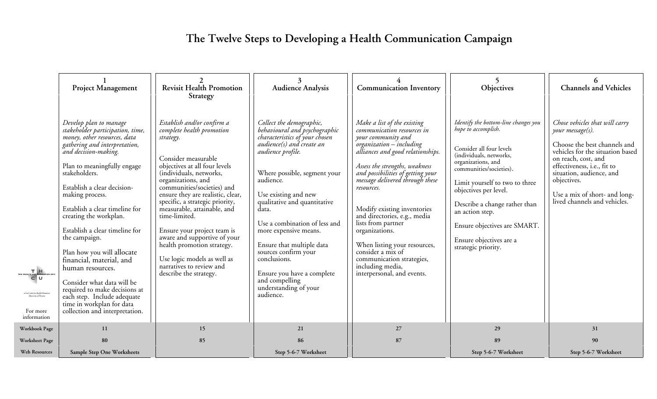## **The Twelve Steps to Developing a Health Communication Campaign**

|                                                                                                                      | <b>Project Management</b>                                                                                                                                                                                                                                                                                                                                                                                                                                                                                                                                                                                       | <b>Revisit Health Promotion</b><br>Strategy                                                                                                                                                                                                                                                                                                                                                                                                                                                                           | <b>Audience Analysis</b>                                                                                                                                                                                                                                                                                                                                                                                                                                                         | <b>Communication Inventory</b>                                                                                                                                                                                                                                                                                                                                                                                                                                                                                      | Objectives                                                                                                                                                                                                                                                                                                                                                           | <b>Channels and Vehicles</b>                                                                                                                                                                                                                                                             |
|----------------------------------------------------------------------------------------------------------------------|-----------------------------------------------------------------------------------------------------------------------------------------------------------------------------------------------------------------------------------------------------------------------------------------------------------------------------------------------------------------------------------------------------------------------------------------------------------------------------------------------------------------------------------------------------------------------------------------------------------------|-----------------------------------------------------------------------------------------------------------------------------------------------------------------------------------------------------------------------------------------------------------------------------------------------------------------------------------------------------------------------------------------------------------------------------------------------------------------------------------------------------------------------|----------------------------------------------------------------------------------------------------------------------------------------------------------------------------------------------------------------------------------------------------------------------------------------------------------------------------------------------------------------------------------------------------------------------------------------------------------------------------------|---------------------------------------------------------------------------------------------------------------------------------------------------------------------------------------------------------------------------------------------------------------------------------------------------------------------------------------------------------------------------------------------------------------------------------------------------------------------------------------------------------------------|----------------------------------------------------------------------------------------------------------------------------------------------------------------------------------------------------------------------------------------------------------------------------------------------------------------------------------------------------------------------|------------------------------------------------------------------------------------------------------------------------------------------------------------------------------------------------------------------------------------------------------------------------------------------|
| $T_{\text{tricoulliation}}$<br>at the Costre for Health Promotio<br>University of Toronto<br>For more<br>information | Develop plan to manage<br>stakeholder participation, time,<br>money, other resources, data<br>gathering and interpretation,<br>and decision-making.<br>Plan to meaningfully engage<br>stakeholders.<br>Establish a clear decision-<br>making process.<br>Establish a clear timeline for<br>creating the workplan.<br>Establish a clear timeline for<br>the campaign.<br>Plan how you will allocate<br>financial, material, and<br>human resources.<br>Consider what data will be<br>required to make decisions at<br>each step. Include adequate<br>time in workplan for data<br>collection and interpretation. | Establish and/or confirm a<br>complete health promotion<br>strategy.<br>Consider measurable<br>objectives at all four levels<br>(individuals, networks,<br>organizations, and<br>communities/societies) and<br>ensure they are realistic, clear,<br>specific, a strategic priority,<br>measurable, attainable, and<br>time-limited.<br>Ensure your project team is<br>aware and supportive of your<br>health promotion strategy.<br>Use logic models as well as<br>narratives to review and<br>describe the strategy. | Collect the demographic,<br>behavioural and psychographic<br>characteristics of your chosen<br>audience(s) and create an<br>audience profile.<br>Where possible, segment your<br>audience.<br>Use existing and new<br>qualitative and quantitative<br>data.<br>Use a combination of less and<br>more expensive means.<br>Ensure that multiple data<br>sources confirm your<br>conclusions.<br>Ensure you have a complete<br>and compelling<br>understanding of your<br>audience. | Make a list of the existing<br>communication resources in<br>your community and<br>organization - including<br>alliances and good relationships.<br>Assess the strengths, weakness<br>and possibilities of getting your<br>message delivered through these<br>resources.<br>Modify existing inventories<br>and directories, e.g., media<br>lists from partner<br>organizations.<br>When listing your resources,<br>consider a mix of<br>communication strategies,<br>including media,<br>interpersonal, and events. | Identify the bottom-line changes you<br>hope to accomplish.<br>Consider all four levels<br>(individuals, networks,<br>organizations, and<br>communities/societies).<br>Limit yourself to two to three<br>objectives per level.<br>Describe a change rather than<br>an action step.<br>Ensure objectives are SMART.<br>Ensure objectives are a<br>strategic priority. | Chose vehicles that will carry<br>your message(s).<br>Choose the best channels and<br>vehicles for the situation based<br>on reach, cost, and<br>effectiveness, i.e., fit to<br>situation, audience, and<br>objectives.<br>Use a mix of short- and long-<br>lived channels and vehicles. |
| Workbook Page                                                                                                        | 11                                                                                                                                                                                                                                                                                                                                                                                                                                                                                                                                                                                                              | 15                                                                                                                                                                                                                                                                                                                                                                                                                                                                                                                    | 21                                                                                                                                                                                                                                                                                                                                                                                                                                                                               | 27                                                                                                                                                                                                                                                                                                                                                                                                                                                                                                                  | 29                                                                                                                                                                                                                                                                                                                                                                   | 31                                                                                                                                                                                                                                                                                       |
| <b>Worksheet Page</b>                                                                                                | 80                                                                                                                                                                                                                                                                                                                                                                                                                                                                                                                                                                                                              | 85                                                                                                                                                                                                                                                                                                                                                                                                                                                                                                                    | 86                                                                                                                                                                                                                                                                                                                                                                                                                                                                               | 87                                                                                                                                                                                                                                                                                                                                                                                                                                                                                                                  | 89                                                                                                                                                                                                                                                                                                                                                                   | 90                                                                                                                                                                                                                                                                                       |
| Web Resources                                                                                                        | Sample Step One Worksheets                                                                                                                                                                                                                                                                                                                                                                                                                                                                                                                                                                                      |                                                                                                                                                                                                                                                                                                                                                                                                                                                                                                                       | Step 5-6-7 Worksheet                                                                                                                                                                                                                                                                                                                                                                                                                                                             |                                                                                                                                                                                                                                                                                                                                                                                                                                                                                                                     | Step 5-6-7 Worksheet                                                                                                                                                                                                                                                                                                                                                 | Step 5-6-7 Worksheet                                                                                                                                                                                                                                                                     |

**Web Resou**